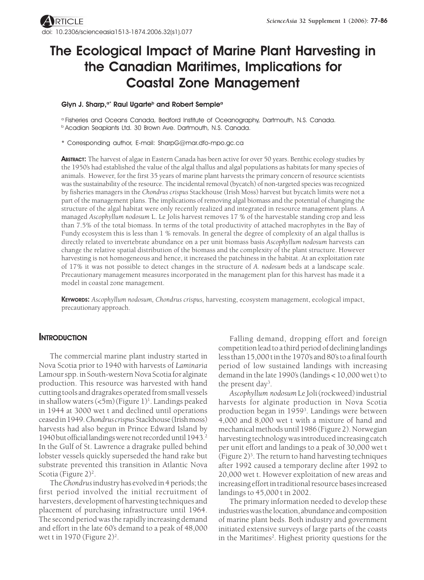# **The Ecological Impact of Marine Plant Harvesting in the Canadian Maritimes, Implications for Coastal Zone Management**

#### Glyn J. Sharp,<sup>a\*</sup> Raul Ugarte<sup>b</sup> and Robert Semple<sup>a</sup>

a Fisheries and Oceans Canada, Bedford Institute of Oceanography, Dartmouth, N.S. Canada. **b Acadian Seaplants Ltd. 30 Brown Ave. Dartmouth, N.S. Canada.** 

\* Corresponding author, E-mail: SharpG@mar.dfo-mpo.gc.ca

**ABSTRACT:** The harvest of algae in Eastern Canada has been active for over 50 years. Benthic ecology studies by the 1950's had established the value of the algal thallus and algal populations as habitats for many species of animals. However, for the first 35 years of marine plant harvests the primary concern of resource scientists was the sustainability of the resource. The incidental removal (bycatch) of non-targeted species was recognized by fisheries managers in the *Chondrus crispus* Stackhouse (Irish Moss) harvest but bycatch limits were not a part of the management plans. The implications of removing algal biomass and the potential of changing the structure of the algal habitat were only recently realized and integrated in resource management plans. A managed *Ascophyllum nodosum* L. Le Jolis harvest removes 17 % of the harvestable standing crop and less than 7.5% of the total biomass. In terms of the total productivity of attached macrophytes in the Bay of Fundy ecosystem this is less than 1 % removals. In general the degree of complexity of an algal thallus is directly related to invertebrate abundance on a per unit biomass basis *Ascophyllum nodosum* harvests can change the relative spatial distribution of the biomass and the complexity of the plant structure. However harvesting is not homogeneous and hence, it increased the patchiness in the habitat. At an exploitation rate of 17% it was not possible to detect changes in the structure of *A. nodosum* beds at a landscape scale. Precautionary management measures incorporated in the management plan for this harvest has made it a model in coastal zone management.

**KEYWORDS:** *Ascophyllum nodosum, Chondrus crispus,* harvesting, ecosystem management, ecological impact, precautionary approach.

## **INTRODUCTION**

The commercial marine plant industry started in Nova Scotia prior to 1940 with harvests of *Laminaria* Lamour spp. in South-western Nova Scotia for alginate production. This resource was harvested with hand cutting tools and dragrakes operated from small vessels in shallow waters (<5m) (Figure 1)<sup>1</sup>. Landings peaked in 1944 at 3000 wet t and declined until operations ceased in 1949. *Chondrus crispus* Stackhouse (Irish moss) harvests had also begun in Prince Edward Island by 1940 but official landings were not recorded until 1943.2 In the Gulf of St. Lawrence a dragrake pulled behind lobster vessels quickly superseded the hand rake but substrate prevented this transition in Atlantic Nova Scotia (Figure 2)<sup>2</sup>.

The *Chondrus* industry has evolved in 4 periods; the first period involved the initial recruitment of harvesters, development of harvesting techniques and placement of purchasing infrastructure until 1964. The second period was the rapidly increasing demand and effort in the late 60's demand to a peak of 48,000 wet t in 1970 (Figure 2)<sup>2</sup>.

Falling demand, dropping effort and foreign competition lead to a third period of declining landings less than 15,000 t in the 1970's and 80's to a final fourth period of low sustained landings with increasing demand in the late 1990's (landings < 10,000 wet t) to the present day<sup>3</sup>.

*Ascophyllum nodosum* Le Joli(rockweed) industrial harvests for alginate production in Nova Scotia production began in 1959<sup>3</sup>. Landings were between 4,000 and 8,000 wet t with a mixture of hand and mechanical methods until 1986 (Figure 2). Norwegian harvesting technology was introduced increasing catch per unit effort and landings to a peak of 30,000 wet t (Figure 2)3 . The return to hand harvesting techniques after 1992 caused a temporary decline after 1992 to 20,000 wet t. However exploitation of new areas and increasing effort in traditional resource bases increased landings to 45,000 t in 2002.

The primary information needed to develop these industries was the location, abundance and composition of marine plant beds. Both industry and government initiated extensive surveys of large parts of the coasts in the Maritimes<sup>2</sup>. Highest priority questions for the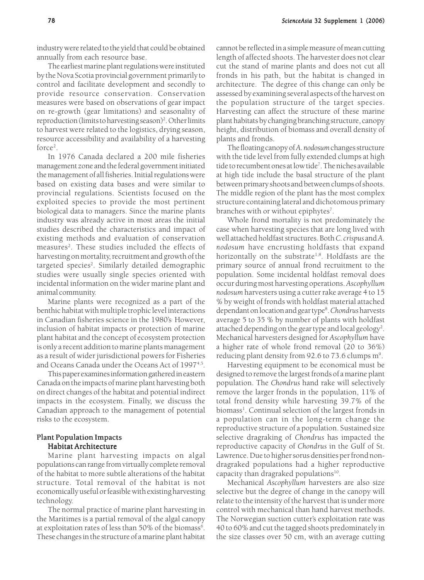industry were related to the yield that could be obtained annually from each resource base.

The earliest marine plant regulations were instituted by the Nova Scotia provincial government primarily to control and facilitate development and secondly to provide resource conservation. Conservation measures were based on observations of gear impact on re-growth (gear limitations) and seasonality of reproduction (limits to harvesting season)<sup>2</sup>. Other limits to harvest were related to the logistics, drying season, resource accessibility and availability of a harvesting force<sup>2</sup>.

In 1976 Canada declared a 200 mile fisheries management zone and the federal government initiated the management of all fisheries. Initial regulations were based on existing data bases and were similar to provincial regulations. Scientists focused on the exploited species to provide the most pertinent biological data to managers. Since the marine plants industry was already active in most areas the initial studies described the characteristics and impact of existing methods and evaluation of conservation measures<sup>2</sup>. These studies included the effects of harvesting on mortality, recruitment and growth of the targeted species<sup>2</sup>. Similarly detailed demographic studies were usually single species oriented with incidental information on the wider marine plant and animal community.

Marine plants were recognized as a part of the benthic habitat with multiple trophic level interactions in Canadian fisheries science in the 1980's. However, inclusion of habitat impacts or protection of marine plant habitat and the concept of ecosystem protection is only a recent addition to marine plants management as a result of wider jurisdictional powers for Fisheries and Oceans Canada under the Oceans Act of 1997<sup>4,5</sup>.

This paper examines information gathered in eastern Canada on the impacts of marine plant harvesting both on direct changes of the habitat and potential indirect impacts in the ecosystem. Finally, we discuss the Canadian approach to the management of potential risks to the ecosystem.

### Plant Population Impacts Habitat Architecture

Marine plant harvesting impacts on algal populations can range from virtually complete removal of the habitat to more subtle alterations of the habitat structure. Total removal of the habitat is not economically useful or feasible with existing harvesting technology.

The normal practice of marine plant harvesting in the Maritimes is a partial removal of the algal canopy at exploitation rates of less than 50% of the biomass $^6$ . These changes in the structure of a marine plant habitat cannot be reflected in a simple measure of mean cutting length of affected shoots. The harvester does not clear cut the stand of marine plants and does not cut all fronds in his path, but the habitat is changed in architecture. The degree of this change can only be assessed by examining several aspects of the harvest on the population structure of the target species. Harvesting can affect the structure of these marine plant habitats by changing branching structure, canopy height, distribution of biomass and overall density of plants and fronds.

The floating canopy of *A. nodosum* changes structure with the tide level from fully extended clumps at high tide to recumbent ones at low tide7 . The niches available at high tide include the basal structure of the plant between primary shoots and between clumps of shoots. The middle region of the plant has the most complex structure containing lateral and dichotomous primary branches with or without epiphytes<sup>7</sup>.

Whole frond mortality is not predominately the case when harvesting species that are long lived with well attached holdfast structures. Both *C. crispus* and *A. nodosum* have encrusting holdfasts that expand horizontally on the substrate<sup>1,8</sup>. Holdfasts are the primary source of annual frond recruitment to the population. Some incidental holdfast removal does occur during most harvesting operations. *Ascophyllum nodosum* harvesters using a cutter rake average 4 to 15 % by weight of fronds with holdfast material attached dependant on location and gear type8 . *Chondrus* harvests average 5 to 35 % by number of plants with holdfast attached depending on the gear type and local geology<sup>2</sup>. Mechanical harvesters designed for *Ascophyllum* have a higher rate of whole frond removal (20 to 36%) reducing plant density from 92.6 to 73.6 clumps m<sup>9</sup>.

Harvesting equipment to be economical must be designed to remove the largest fronds of a marine plant population. The *Chondrus* hand rake will selectively remove the larger fronds in the population, 11% of total frond density while harvesting 39.7% of the biomass<sup>1</sup>. Continual selection of the largest fronds in a population can in the long-term change the reproductive structure of a population. Sustained size selective dragraking of *Chondrus* has impacted the reproductive capacity of *Chondrus* in the Gulf of St. Lawrence. Due to higher sorus densities per frond nondragraked populations had a higher reproductive capacity than dragraked populations $10$ .

Mechanical *Ascophyllum* harvesters are also size selective but the degree of change in the canopy will relate to the intensity of the harvest that is under more control with mechanical than hand harvest methods. The Norwegian suction cutter's exploitation rate was 40 to 60% and cut the tagged shoots predominately in the size classes over 50 cm, with an average cutting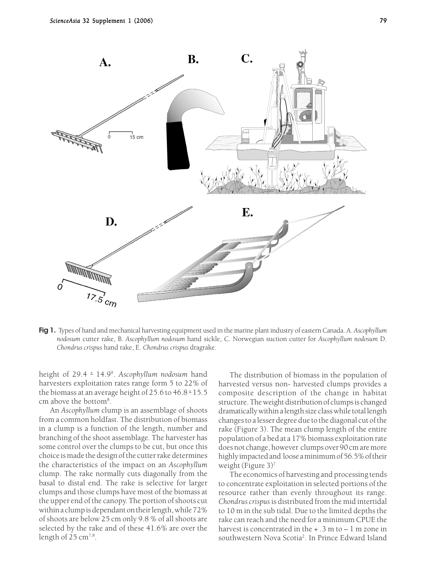

**Fig 1.** Types of hand and mechanical harvesting equipment used in the marine plant industry of eastern Canada. A. *Ascophyllum nodosum* cutter rake, B. *Ascophyllum nodosum* hand sickle, C. Norwegian suction cutter for *Ascophyllum nodosum* D. *Chondrus crispus* hand rake, E. *Chondrus crispus* dragrake.

height of 29.4 + 14.99 . *Ascophyllum nodosum* hand harvesters exploitation rates range form 5 to 22% of the biomass at an average height of 25.6 to 46.8 + 15.5 cm above the bottom8 .

An *Ascophyllum* clump is an assemblage of shoots from a common holdfast. The distribution of biomass in a clump is a function of the length, number and branching of the shoot assemblage. The harvester has some control over the clumps to be cut, but once this choice is made the design of the cutter rake determines the characteristics of the impact on an *Ascophyllum* clump. The rake normally cuts diagonally from the basal to distal end. The rake is selective for larger clumps and those clumps have most of the biomass at the upper end of the canopy. The portion of shoots cut within a clump is dependant on their length, while 72% of shoots are below 25 cm only 9.8 % of all shoots are selected by the rake and of these 41.6% are over the length of  $25 \text{ cm}^{7,8}$ .

The distribution of biomass in the population of harvested versus non- harvested clumps provides a composite description of the change in habitat structure. The weight distribution of clumps is changed dramatically within a length size class while total length changes to a lesser degree due to the diagonal cut of the rake (Figure 3). The mean clump length of the entire population of a bed at a 17% biomass exploitation rate does not change, however clumps over 90 cm are more highly impacted and loose a minimum of 56.5% of their weight (Figure 3)7.

The economics of harvesting and processing tends to concentrate exploitation in selected portions of the resource rather than evenly throughout its range. *Chondrus crispus* is distributed from the mid intertidal to 10 m in the sub tidal. Due to the limited depths the rake can reach and the need for a minimum CPUE the harvest is concentrated in the  $+ .3$  m to  $- 1$  m zone in southwestern Nova Scotia<sup>2</sup>. In Prince Edward Island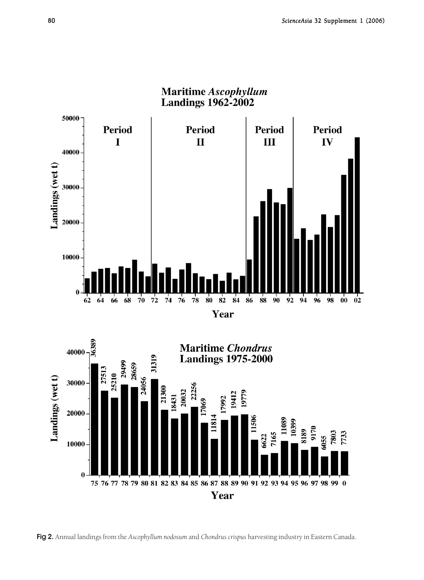



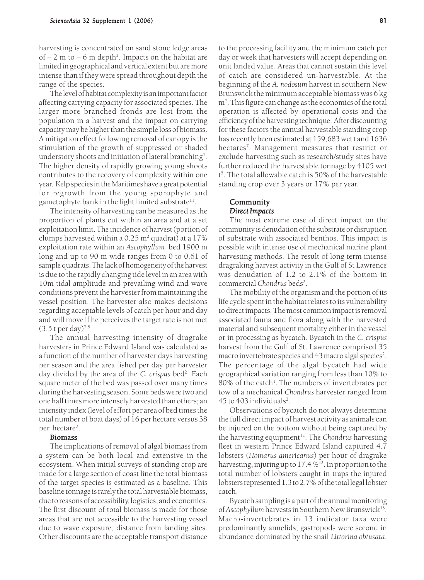harvesting is concentrated on sand stone ledge areas of  $-$  2 m to  $-$  6 m depth<sup>2</sup>. Impacts on the habitat are limited in geographical and vertical extent but are more intense than if they were spread throughout depth the range of the species.

The level of habitat complexity is an important factor affecting carrying capacity for associated species. The larger more branched fronds are lost from the population in a harvest and the impact on carrying capacity may be higher than the simple loss of biomass. A mitigation effect following removal of canopy is the stimulation of the growth of suppressed or shaded understory shoots and initiation of lateral branching<sup>7</sup>. The higher density of rapidly growing young shoots contributes to the recovery of complexity within one year. Kelp species in the Maritimes have a great potential for regrowth from the young sporophyte and gametophyte bank in the light limited substrate $11$ .

The intensity of harvesting can be measured as the proportion of plants cut within an area and at a set exploitation limit. The incidence of harvest (portion of clumps harvested within a 0.25 m² quadrat) at a 17% exploitation rate within an *Ascophyllum* bed 1900 m long and up to 90 m wide ranges from 0 to 0.61 of sample quadrats. The lack of homogeneity of the harvest is due to the rapidly changing tide level in an area with 10m tidal amplitude and prevailing wind and wave conditions prevent the harvester from maintaining the vessel position. The harvester also makes decisions regarding acceptable levels of catch per hour and day and will move if he perceives the target rate is not met  $(3.5 t \text{ per day})^{7,8}$ .

The annual harvesting intensity of dragrake harvesters in Prince Edward Island was calculated as a function of the number of harvester days harvesting per season and the area fished per day per harvester day divided by the area of the *C. crispus* bed2 . Each square meter of the bed was passed over many times during the harvesting season. Some beds were two and one half times more intensely harvested than others; an intensity index (level of effort per area of bed times the total number of boat days) of 16 per hectare versus 38 per hectare<sup>2</sup>.

#### Biomass

The implications of removal of algal biomass from a system can be both local and extensive in the ecosystem. When initial surveys of standing crop are made for a large section of coast line the total biomass of the target species is estimated as a baseline. This baseline tonnage is rarely the total harvestable biomass, due to reasons of accessibility, logistics, and economics. The first discount of total biomass is made for those areas that are not accessible to the harvesting vessel due to wave exposure, distance from landing sites. Other discounts are the acceptable transport distance

to the processing facility and the minimum catch per day or week that harvesters will accept depending on unit landed value. Areas that cannot sustain this level of catch are considered un-harvestable. At the beginning of the *A. nodosum* harvest in southern New Brunswick the minimum acceptable biomass was 6 kg m7 . This figure can change as the economics of the total operation is affected by operational costs and the efficiency of the harvesting technique. After discounting for these factors the annual harvestable standing crop has recently been estimated at 159,683 wet t and 1636 hectares7 . Management measures that restrict or exclude harvesting such as research/study sites have further reduced the harvestable tonnage by 4105 wet t 5 . The total allowable catch is 50% of the harvestable standing crop over 3 years or 17% per year.

#### Community  $Direct$ *Impacts*

The most extreme case of direct impact on the community is denudation of the substrate or disruption of substrate with associated benthos. This impact is possible with intense use of mechanical marine plant harvesting methods. The result of long term intense dragraking harvest activity in the Gulf of St Lawrence was denudation of 1.2 to 2.1% of the bottom in commercial *Chondrus* beds<sup>2</sup>.

The mobility of the organism and the portion of its life cycle spent in the habitat relates to its vulnerability to direct impacts. The most common impact is removal associated fauna and flora along with the harvested material and subsequent mortality either in the vessel or in processing as bycatch. Bycatch in the *C. crispus* harvest from the Gulf of St. Lawrence comprised 35 macro invertebrate species and 43 macro algal species<sup>2</sup>. The percentage of the algal bycatch had wide geographical variation ranging from less than 10% to 80% of the catch<sup>1</sup>. The numbers of invertebrates per tow of a mechanical *Chondrus* harvester ranged from 45 to 403 individuals<sup>2</sup>.

Observations of bycatch do not always determine the full direct impact of harvest activity as animals can be injured on the bottom without being captured by the harvesting equipment<sup>12</sup>. The *Chondrus* harvesting fleet in western Prince Edward Island captured 4.7 lobsters (*Homarus americanus*) per hour of dragrake harvesting, injuring up to  $17.4\%$ <sup>12</sup>. In proportion to the total number of lobsters caught in traps the injured lobsters represented 1.3 to 2.7% of the total legal lobster catch.

Bycatch sampling is a part of the annual monitoring of *Ascophyllum* harvests in Southern New Brunswick<sup>13</sup>. Macro-invertebrates in 13 indicator taxa were predominantly annelids; gastropods were second in abundance dominated by the snail *Littorina obtusata*.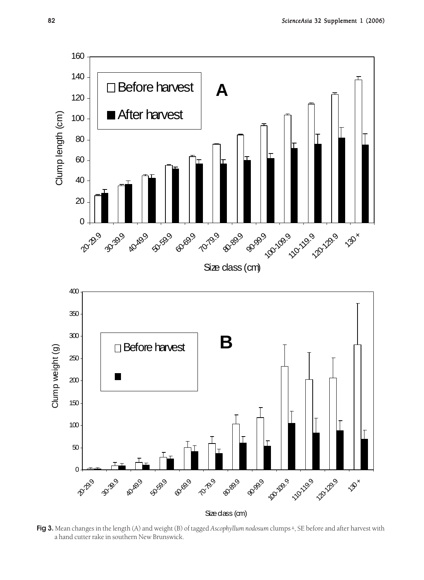

**Fig 3.** Mean changes in the length (A) and weight (B) of tagged *Ascophyllum nodosum* clumps + , SE before and after harvest with a hand cutter rake in southern New Brunswick.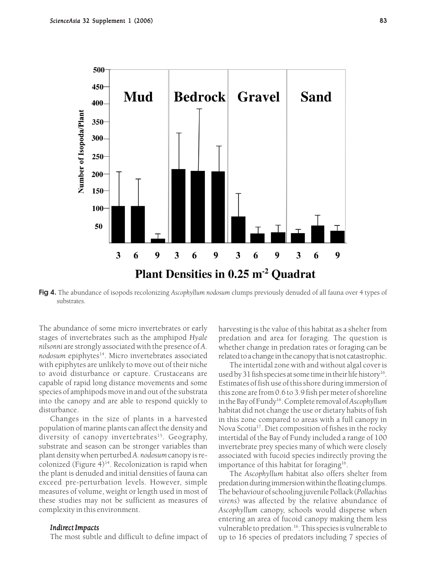

**Fig 4.** The abundance of isopods recolonizing *Ascophyllum nodosum* clumps previously denuded of all fauna over 4 types of substrates.

The abundance of some micro invertebrates or early stages of invertebrates such as the amphipod *Hyale nilsonni* are strongly associated with the presence of *A.* nodosum epiphytes<sup>14</sup>. Micro invertebrates associated with epiphytes are unlikely to move out of their niche to avoid disturbance or capture. Crustaceans are capable of rapid long distance movements and some species of amphipods move in and out of the substrata into the canopy and are able to respond quickly to disturbance.

Changes in the size of plants in a harvested population of marine plants can affect the density and diversity of canopy invertebrates<sup>15</sup>. Geography, substrate and season can be stronger variables than plant density when perturbed *A. nodosum* canopy is recolonized (Figure  $4$ )<sup>14</sup>. Recolonization is rapid when the plant is denuded and initial densities of fauna can exceed pre-perturbation levels. However, simple measures of volume, weight or length used in most of these studies may not be sufficient as measures of complexity in this environment.

#### *Indirect Impacts*

The most subtle and difficult to define impact of

harvesting is the value of this habitat as a shelter from predation and area for foraging. The question is whether change in predation rates or foraging can be related to a change in the canopy that is not catastrophic.

The intertidal zone with and without algal cover is used by 31 fish species at some time in their life history<sup>16</sup>. Estimates of fish use of this shore during immersion of this zone are from 0.6 to 3.9 fish per meter of shoreline in the Bay of Fundy16. Complete removal of *Ascophyllum* habitat did not change the use or dietary habits of fish in this zone compared to areas with a full canopy in Nova Scotia17. Diet composition of fishes in the rocky intertidal of the Bay of Fundy included a range of 100 invertebrate prey species many of which were closely associated with fucoid species indirectly proving the importance of this habitat for foraging<sup>16</sup>.

The *Ascophyllum* habitat also offers shelter from predation during immersion within the floating clumps. The behaviour of schooling juvenile Pollack (*Pollachius virens*) was affected by the relative abundance of *Ascophyllum* canopy, schools would disperse when entering an area of fucoid canopy making them less vulnerable to predation.<sup>16</sup>. This species is vulnerable to up to 16 species of predators including 7 species of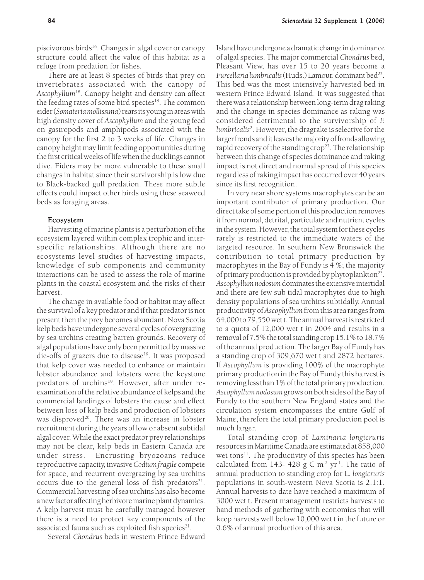piscivorous birds<sup>16</sup>. Changes in algal cover or canopy structure could affect the value of this habitat as a refuge from predation for fishes.

There are at least 8 species of birds that prey on invertebrates associated with the canopy of *Ascophyllum*18. Canopy height and density can affect the feeding rates of some bird species<sup>18</sup>. The common eider (*Somateria mollissima*) rears its young in areas with high density cover of *Ascophyllum* and the young feed on gastropods and amphipods associated with the canopy for the first 2 to 3 weeks of life. Changes in canopy height may limit feeding opportunities during the first critical weeks of life when the ducklings cannot dive. Eiders may be more vulnerable to these small changes in habitat since their survivorship is low due to Black-backed gull predation. These more subtle effects could impact other birds using these seaweed beds as foraging areas.

#### Ecosystem

Harvesting of marine plants is a perturbation of the ecosystem layered within complex trophic and interspecific relationships. Although there are no ecosystems level studies of harvesting impacts, knowledge of sub components and community interactions can be used to assess the role of marine plants in the coastal ecosystem and the risks of their harvest.

The change in available food or habitat may affect the survival of a key predator and if that predator is not present then the prey becomes abundant. Nova Scotia kelp beds have undergone several cycles of overgrazing by sea urchins creating barren grounds. Recovery of algal populations have only been permitted by massive die-offs of grazers due to disease<sup>19</sup>. It was proposed that kelp cover was needed to enhance or maintain lobster abundance and lobsters were the keystone predators of urchins<sup>19</sup>. However, after under reexamination of the relative abundance of kelps and the commercial landings of lobsters the cause and effect between loss of kelp beds and production of lobsters was disproved<sup>20</sup>. There was an increase in lobster recruitment during the years of low or absent subtidal algal cover. While the exact predator prey relationships may not be clear, kelp beds in Eastern Canada are under stress. Encrusting bryozoans reduce reproductive capacity, invasive *Codium fragile* compete for space, and recurrent overgrazing by sea urchins occurs due to the general loss of fish predators $21$ . Commercial harvesting of sea urchins has also become a new factor affecting herbivore marine plant dynamics. A kelp harvest must be carefully managed however there is a need to protect key components of the associated fauna such as exploited fish species $21$ .

Several *Chondrus* beds in western Prince Edward

Island have undergone a dramatic change in dominance of algal species. The major commercial *Chondrus* bed, Pleasant View, has over 15 to 20 years become a *Furcellaria lumbricalis* (Huds.) Lamour. dominant bed<sup>22</sup>. This bed was the most intensively harvested bed in western Prince Edward Island. It was suggested that there was a relationship between long-term drag raking and the change in species dominance as raking was considered detrimental to the survivorship of *F. lumbricalis*<sup>2</sup> . However, the dragrake is selective for the larger fronds and it leaves the majority of fronds allowing rapid recovery of the standing crop<sup>22</sup>. The relationship between this change of species dominance and raking impact is not direct and normal spread of this species regardless of raking impact has occurred over 40 years since its first recognition.

In very near shore systems macrophytes can be an important contributor of primary production. Our direct take of some portion of this production removes it from normal, detrital, particulate and nutrient cycles in the system. However, the total system for these cycles rarely is restricted to the immediate waters of the targeted resource. In southern New Brunswick the contribution to total primary production by macrophytes in the Bay of Fundy is 4 %; the majority of primary production is provided by phytoplankton<sup>23</sup>. *Ascophyllum nodosum* dominates the extensive intertidal and there are few sub tidal macrophytes due to high density populations of sea urchins subtidally. Annual productivity of *Ascophyllum* from this area ranges from 64,000 to 79,550 wet t. The annual harvest is restricted to a quota of 12,000 wet t in 2004 and results in a removal of 7.5% the total standing crop 15.1% to 18.7% of the annual production. The larger Bay of Fundy has a standing crop of 309,670 wet t and 2872 hectares. If *Ascophyllum* is providing 100% of the macrophyte primary production in the Bay of Fundy this harvest is removing less than 1% of the total primary production. *Ascophyllum nodosum* grows on both sides of the Bay of Fundy to the southern New England states and the circulation system encompasses the entire Gulf of Maine, therefore the total primary production pool is much larger.

Total standing crop of *Laminaria longicruris* resources in Maritime Canada are estimated at 858,000 wet tons<sup>11</sup>. The productivity of this species has been calculated from 143- 428 g C  $m^{-2}$  yr<sup>-1</sup>. The ratio of annual production to standing crop for L*. longicruris* populations in south-western Nova Scotia is 2.1:1. Annual harvests to date have reached a maximum of 3000 wet t. Present management restricts harvests to hand methods of gathering with economics that will keep harvests well below 10,000 wet t in the future or 0.6% of annual production of this area.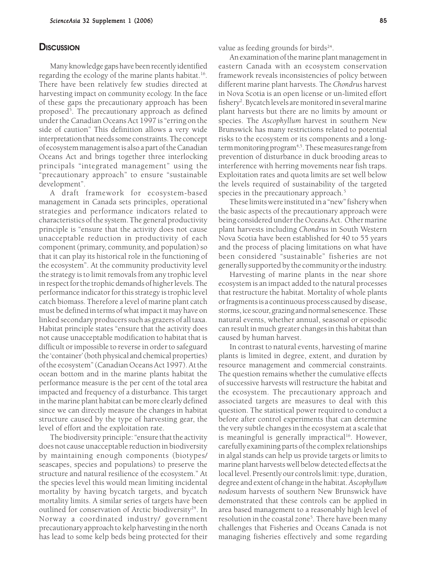#### **DISCUSSION**

Many knowledge gaps have been recently identified regarding the ecology of the marine plants habitat.<sup>16</sup>. There have been relatively few studies directed at harvesting impact on community ecology. In the face of these gaps the precautionary approach has been proposed<sup>5</sup>. The precautionary approach as defined under the Canadian Oceans Act 1997 is "erring on the side of caution" This definition allows a very wide interpretation that needs some constraints. The concept of ecosystem management is also a part of the Canadian Oceans Act and brings together three interlocking principals "integrated management" using the "precautionary approach" to ensure "sustainable development".

A draft framework for ecosystem-based management in Canada sets principles, operational strategies and performance indicators related to characteristics of the system. The general productivity principle is "ensure that the activity does not cause unacceptable reduction in productivity of each component (primary, community, and population) so that it can play its historical role in the functioning of the ecosystem". At the community productivity level the strategy is to limit removals from any trophic level in respect for the trophic demands of higher levels. The performance indicator for this strategy is trophic level catch biomass. Therefore a level of marine plant catch must be defined in terms of what impact it may have on linked secondary producers such as grazers of all taxa. Habitat principle states "ensure that the activity does not cause unacceptable modification to habitat that is difficult or impossible to reverse in order to safeguard the 'container' (both physical and chemical properties) of the ecosystem" (Canadian Oceans Act 1997). At the ocean bottom and in the marine plants habitat the performance measure is the per cent of the total area impacted and frequency of a disturbance. This target in the marine plant habitat can be more clearly defined since we can directly measure the changes in habitat structure caused by the type of harvesting gear, the level of effort and the exploitation rate.

The biodiversity principle: "ensure that the activity does not cause unacceptable reduction in biodiversity by maintaining enough components (biotypes/ seascapes, species and populations) to preserve the structure and natural resilience of the ecosystem." At the species level this would mean limiting incidental mortality by having bycatch targets, and bycatch mortality limits. A similar series of targets have been outlined for conservation of Arctic biodiversity<sup>24</sup>. In Norway a coordinated industry/ government precautionary approach to kelp harvesting in the north has lead to some kelp beds being protected for their

value as feeding grounds for birds $24$ .

An examination of the marine plant management in eastern Canada with an ecosystem conservation framework reveals inconsistencies of policy between different marine plant harvests. The *Chondrus* harvest in Nova Scotia is an open license or un-limited effort fishery<sup>2</sup>. Bycatch levels are monitored in several marine plant harvests but there are no limits by amount or species. The *Ascophyllum* harvest in southern New Brunswick has many restrictions related to potential risks to the ecosystem or its components and a longterm monitoring program<sup>4,5</sup>. These measures range from prevention of disturbance in duck brooding areas to interference with herring movements near fish traps. Exploitation rates and quota limits are set well below the levels required of sustainability of the targeted species in the precautionary approach.<sup>5</sup>

These limits were instituted in a "new" fishery when the basic aspects of the precautionary approach were being considered under the Oceans Act. Other marine plant harvests including *Chondrus* in South Western Nova Scotia have been established for 40 to 55 years and the process of placing limitations on what have been considered "sustainable" fisheries are not generally supported by the community or the industry.

Harvesting of marine plants in the near shore ecosystem is an impact added to the natural processes that restructure the habitat. Mortality of whole plants or fragments is a continuous process caused by disease, storms, ice scour, grazing and normal senescence. These natural events, whether annual, seasonal or episodic can result in much greater changes in this habitat than caused by human harvest.

In contrast to natural events, harvesting of marine plants is limited in degree, extent, and duration by resource management and commercial constraints. The question remains whether the cumulative effects of successive harvests will restructure the habitat and the ecosystem. The precautionary approach and associated targets are measures to deal with this question. The statistical power required to conduct a before after control experiments that can determine the very subtle changes in the ecosystem at a scale that is meaningful is generally impractical<sup>16</sup>. However, carefully examining parts of the complex relationships in algal stands can help us provide targets or limits to marine plant harvests well below detected effects at the local level. Presently our controls limit: type, duration, degree and extent of change in the habitat. *Ascophyllum nodos*um harvests of southern New Brunswick have demonstrated that these controls can be applied in area based management to a reasonably high level of resolution in the coastal zone<sup>5</sup>. There have been many challenges that Fisheries and Oceans Canada is not managing fisheries effectively and some regarding